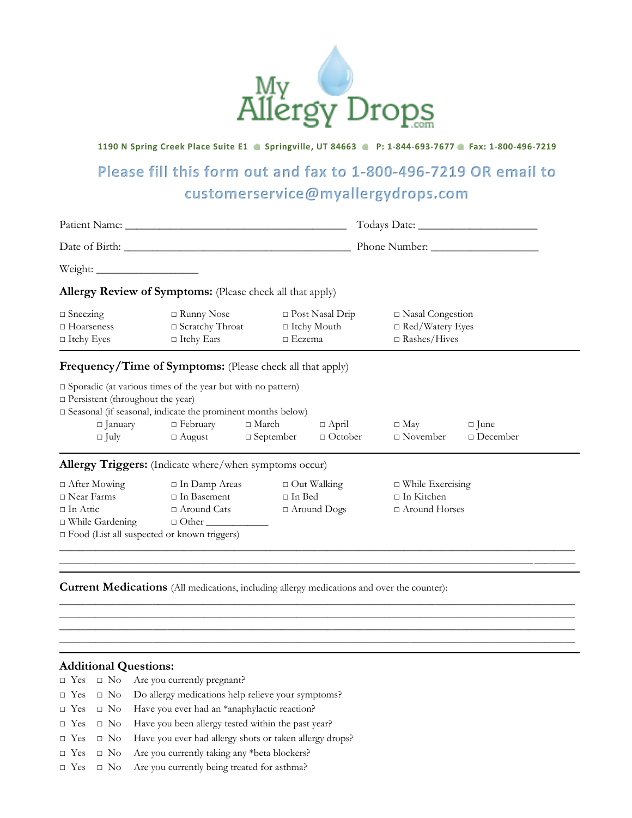

## **1190 N Spring Creek Place Suite E1 Springville, UT 84663 P: 1-844-693-7677 Fax: 1-800-496-7219**

## **Please fill this form out and fax to 1-800-496-7219 OR email to customerservice@myallergydrops.com**

| <b>Allergy Review of Symptoms:</b> (Please check all that apply)                                                                                                                                                             |                                                                              |               |                                          |                                                                 |                                |
|------------------------------------------------------------------------------------------------------------------------------------------------------------------------------------------------------------------------------|------------------------------------------------------------------------------|---------------|------------------------------------------|-----------------------------------------------------------------|--------------------------------|
|                                                                                                                                                                                                                              |                                                                              |               |                                          |                                                                 |                                |
| <b>Frequency/Time of Symptoms:</b> (Please check all that apply)                                                                                                                                                             |                                                                              |               |                                          |                                                                 |                                |
| $\square$ Sporadic (at various times of the year but with no pattern)<br>$\Box$ Persistent (throughout the year)<br>□ Seasonal (if seasonal, indicate the prominent months below)<br>$\Box$ January                          | $\Box$ February<br>$\Box$ July $\Box$ August $\Box$ September $\Box$ October | $\Box$ March  | $\Box$ April                             | $\Box$ May<br>$\Box$ November                                   | $\Box$ June<br>$\Box$ December |
| Allergy Triggers: (Indicate where/when symptoms occur)                                                                                                                                                                       |                                                                              |               |                                          |                                                                 |                                |
| $\Box$ After Mowing<br>$\Box$ In Damp Areas<br>$\Box$ In Basement<br>$\Box$ Near Farms<br>$\Box$ Around Cats<br>$\Box$ In Attic<br>□ While Gardening □ Other <u>_______</u><br>□ Food (List all suspected or known triggers) |                                                                              | $\Box$ In Bed | $\Box$ Out Walking<br>$\Box$ Around Dogs | $\Box$ While Exercising<br>$\Box$ In Kitchen<br>□ Around Horses |                                |

 $\_$  , and the set of the set of the set of the set of the set of the set of the set of the set of the set of the set of the set of the set of the set of the set of the set of the set of the set of the set of the set of th  $\_$  , and the set of the set of the set of the set of the set of the set of the set of the set of the set of the set of the set of the set of the set of the set of the set of the set of the set of the set of the set of th  $\_$  , and the set of the set of the set of the set of the set of the set of the set of the set of the set of the set of the set of the set of the set of the set of the set of the set of the set of the set of the set of th \_\_\_\_\_\_\_\_\_\_\_\_\_\_\_\_\_\_\_\_\_\_\_\_\_\_\_\_\_\_\_\_\_\_\_\_\_\_\_\_\_\_\_\_\_\_\_\_\_\_\_\_\_\_\_\_\_\_\_\_\_\_\_\_\_\_\_\_\_\_\_\_\_\_\_\_\_\_\_\_\_\_\_\_\_\_\_\_\_\_\_\_\_\_\_\_\_\_\_\_

## **Current Medications** (All medications, including allergy medications and over the counter):

## **Additional Questions:**

- □ Yes □ No Are you currently pregnant?
- □ Yes □ No Do allergy medications help relieve your symptoms?
- □ Yes □ No Have you ever had an \*anaphylactic reaction?
- □ Yes □ No Have you been allergy tested within the past year?
- □ Yes □ No Have you ever had allergy shots or taken allergy drops?
- $\square$  Yes  $\square$  No Are you currently taking any \*beta blockers?
- □ Yes □ No Are you currently being treated for asthma?